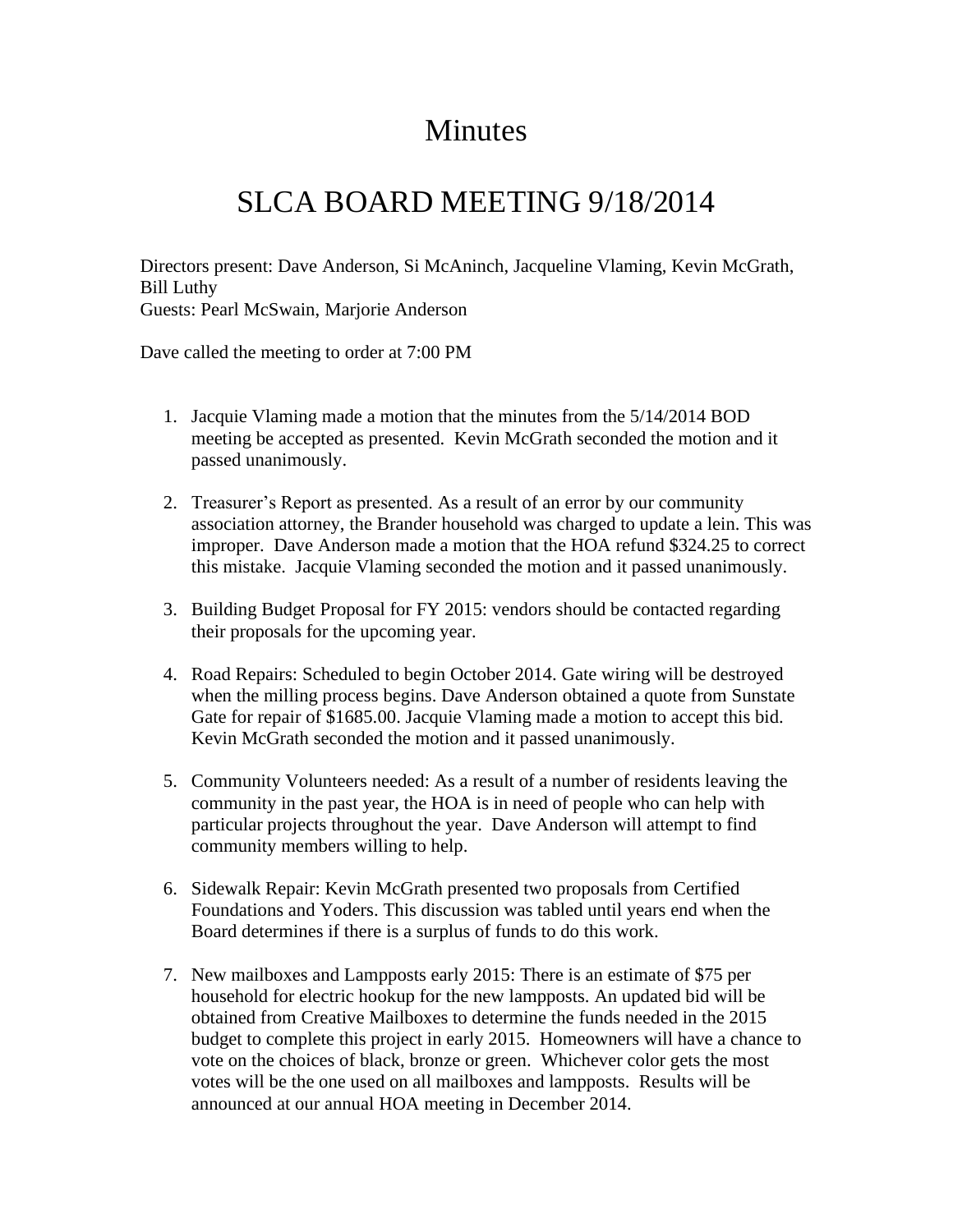## **Minutes**

## SLCA BOARD MEETING 9/18/2014

Directors present: Dave Anderson, Si McAninch, Jacqueline Vlaming, Kevin McGrath, Bill Luthy Guests: Pearl McSwain, Marjorie Anderson

Dave called the meeting to order at 7:00 PM

- 1. Jacquie Vlaming made a motion that the minutes from the 5/14/2014 BOD meeting be accepted as presented. Kevin McGrath seconded the motion and it passed unanimously.
- 2. Treasurer's Report as presented. As a result of an error by our community association attorney, the Brander household was charged to update a lein. This was improper. Dave Anderson made a motion that the HOA refund \$324.25 to correct this mistake. Jacquie Vlaming seconded the motion and it passed unanimously.
- 3. Building Budget Proposal for FY 2015: vendors should be contacted regarding their proposals for the upcoming year.
- 4. Road Repairs: Scheduled to begin October 2014. Gate wiring will be destroyed when the milling process begins. Dave Anderson obtained a quote from Sunstate Gate for repair of \$1685.00. Jacquie Vlaming made a motion to accept this bid. Kevin McGrath seconded the motion and it passed unanimously.
- 5. Community Volunteers needed: As a result of a number of residents leaving the community in the past year, the HOA is in need of people who can help with particular projects throughout the year. Dave Anderson will attempt to find community members willing to help.
- 6. Sidewalk Repair: Kevin McGrath presented two proposals from Certified Foundations and Yoders. This discussion was tabled until years end when the Board determines if there is a surplus of funds to do this work.
- 7. New mailboxes and Lampposts early 2015: There is an estimate of \$75 per household for electric hookup for the new lampposts. An updated bid will be obtained from Creative Mailboxes to determine the funds needed in the 2015 budget to complete this project in early 2015. Homeowners will have a chance to vote on the choices of black, bronze or green. Whichever color gets the most votes will be the one used on all mailboxes and lampposts. Results will be announced at our annual HOA meeting in December 2014.